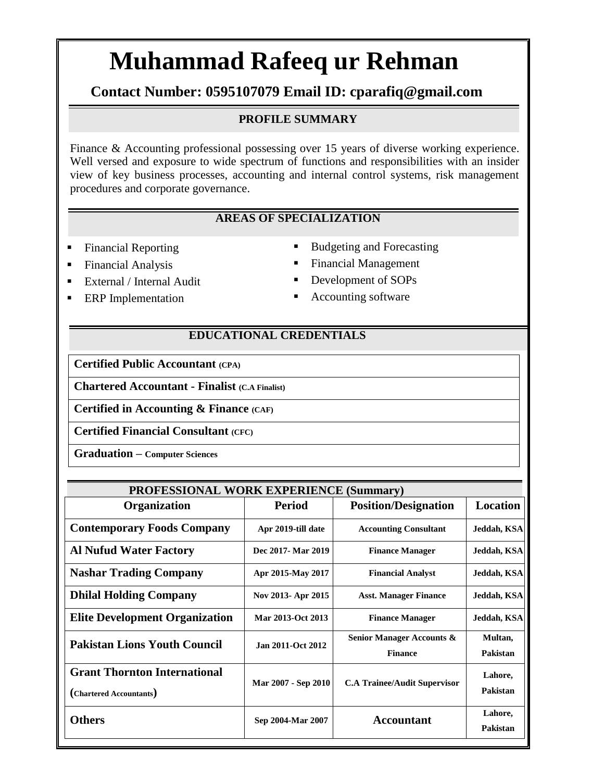# **Muhammad Rafeeq ur Rehman**

# **Contact Number: 0595107079 Email ID: cparafiq@gmail.com**

#### **PROFILE SUMMARY**

Finance & Accounting professional possessing over 15 years of diverse working experience. Well versed and exposure to wide spectrum of functions and responsibilities with an insider view of key business processes, accounting and internal control systems, risk management procedures and corporate governance.

#### **AREAS OF SPECIALIZATION**

- 
- 
- 
- 
- Financial Reporting **Budgeting and Forecasting**

- Financial Analysis Financial Management
	- External / Internal Audit **Development of SOPs**
- **ERP** Implementation **Accounting software**

#### **EDUCATIONAL CREDENTIALS**

**Certified Public Accountant (CPA)**

**Chartered Accountant - Finalist (C.A Finalist)**

**Certified in Accounting & Finance (CAF)**

**Certified Financial Consultant (CFC)**

**Graduation – Computer Sciences**

| <b>PROFESSIONAL WORK EXPERIENCE (Summary)</b>                  |                     |                                             |                     |  |
|----------------------------------------------------------------|---------------------|---------------------------------------------|---------------------|--|
| <b>Organization</b>                                            | <b>Period</b>       | <b>Position/Designation</b>                 | <b>Location</b>     |  |
| <b>Contemporary Foods Company</b>                              | Apr 2019-till date  | <b>Accounting Consultant</b>                | Jeddah, KSA         |  |
| <b>Al Nufud Water Factory</b>                                  | Dec 2017- Mar 2019  | <b>Finance Manager</b>                      | Jeddah, KSA         |  |
| <b>Nashar Trading Company</b>                                  | Apr 2015-May 2017   | <b>Financial Analyst</b>                    | Jeddah, KSA         |  |
| <b>Dhilal Holding Company</b>                                  | Nov 2013- Apr 2015  | <b>Asst. Manager Finance</b>                | Jeddah, KSA         |  |
| <b>Elite Development Organization</b>                          | Mar 2013-Oct 2013   | <b>Finance Manager</b>                      | Jeddah, KSA         |  |
| <b>Pakistan Lions Youth Council</b>                            | Jan 2011-Oct 2012   | Senior Manager Accounts &<br><b>Finance</b> | Multan,<br>Pakistan |  |
| <b>Grant Thornton International</b><br>(Chartered Accountants) | Mar 2007 - Sep 2010 | <b>C.A Trainee/Audit Supervisor</b>         | Lahore,<br>Pakistan |  |
| <b>Others</b>                                                  | Sep 2004-Mar 2007   | <b>Accountant</b>                           | Lahore,<br>Pakistan |  |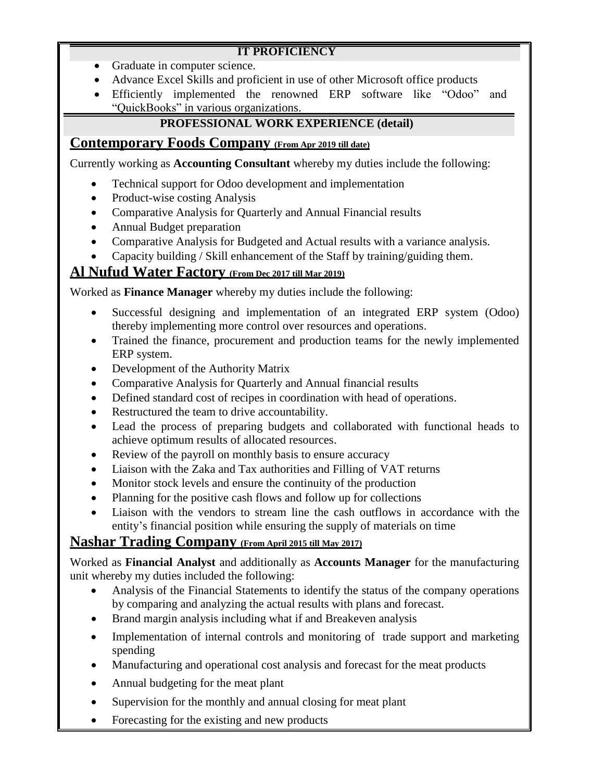## **IT PROFICIENCY**

- Graduate in computer science.
- Advance Excel Skills and proficient in use of other Microsoft office products
- Efficiently implemented the renowned ERP software like "Odoo" and "QuickBooks" in various organizations.

# **PROFESSIONAL WORK EXPERIENCE (detail)**

# **Contemporary Foods Company (From Apr 2019 till date)**

Currently working as **Accounting Consultant** whereby my duties include the following:

- Technical support for Odoo development and implementation
- Product-wise costing Analysis
- Comparative Analysis for Quarterly and Annual Financial results
- Annual Budget preparation
- Comparative Analysis for Budgeted and Actual results with a variance analysis.
- Capacity building / Skill enhancement of the Staff by training/guiding them.

# **Al Nufud Water Factory (From Dec 2017 till Mar 2019)**

Worked as **Finance Manager** whereby my duties include the following:

- Successful designing and implementation of an integrated ERP system (Odoo) thereby implementing more control over resources and operations.
- Trained the finance, procurement and production teams for the newly implemented ERP system.
- Development of the Authority Matrix
- Comparative Analysis for Quarterly and Annual financial results
- Defined standard cost of recipes in coordination with head of operations.
- Restructured the team to drive accountability.
- Lead the process of preparing budgets and collaborated with functional heads to achieve optimum results of allocated resources.
- Review of the payroll on monthly basis to ensure accuracy
- Liaison with the Zaka and Tax authorities and Filling of VAT returns
- Monitor stock levels and ensure the continuity of the production
- Planning for the positive cash flows and follow up for collections
- Liaison with the vendors to stream line the cash outflows in accordance with the entity's financial position while ensuring the supply of materials on time

# **Nashar Trading Company (From April 2015 till May 2017)**

Worked as **Financial Analyst** and additionally as **Accounts Manager** for the manufacturing unit whereby my duties included the following:

- Analysis of the Financial Statements to identify the status of the company operations by comparing and analyzing the actual results with plans and forecast.
- Brand margin analysis including what if and Breakeven analysis
- Implementation of internal controls and monitoring of trade support and marketing spending
- Manufacturing and operational cost analysis and forecast for the meat products
- Annual budgeting for the meat plant
- Supervision for the monthly and annual closing for meat plant
- Forecasting for the existing and new products